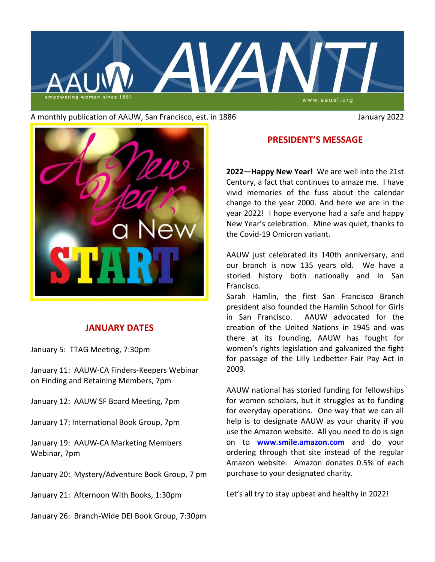

#### A monthly publication of AAUW, San Francisco, est. in 1886 January 2022



## **JANUARY DATES**

January 5:TTAG Meeting, 7:30pm

January 11: AAUW-CA Finders-Keepers Webinar on Finding and Retaining Members, 7pm

January 12: AAUW SF Board Meeting, 7pm

January 17: International Book Group, 7pm

January 19: AAUW-CA Marketing Members Webinar, 7pm

January 20: Mystery/Adventure Book Group, 7 pm

January 21: Afternoon With Books, 1:30pm

January 26: Branch-Wide DEI Book Group, 7:30pm

## **PRESIDENT'S MESSAGE**

**2022—Happy New Year!** We are well into the 21st Century, a fact that continues to amaze me. I have vivid memories of the fuss about the calendar change to the year 2000. And here we are in the year 2022! I hope everyone had a safe and happy New Year's celebration. Mine was quiet, thanks to the Covid-19 Omicron variant.

AAUW just celebrated its 140th anniversary, and our branch is now 135 years old. We have a storied history both nationally and in San Francisco.

Sarah Hamlin, the first San Francisco Branch president also founded the Hamlin School for Girls in San Francisco. AAUW advocated for the creation of the United Nations in 1945 and was there at its founding, AAUW has fought for women's rights legislation and galvanized the fight for passage of the Lilly Ledbetter Fair Pay Act in 2009.

AAUW national has storied funding for fellowships for women scholars, but it struggles as to funding for everyday operations. One way that we can all help is to designate AAUW as your charity if you use the Amazon website. All you need to do is sign on to **[www.smile.amazon.com](http://www.smile.amazon.com/)** and do your ordering through that site instead of the regular Amazon website. Amazon donates 0.5% of each purchase to your designated charity.

Let's all try to stay upbeat and healthy in 2022!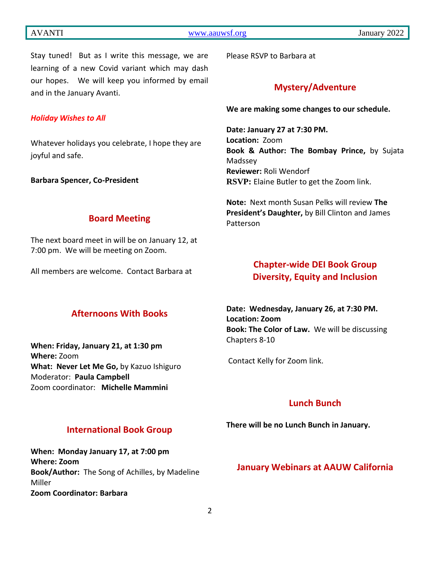Stay tuned! But as I write this message, we are learning of a new Covid variant which may dash our hopes. We will keep you informed by email and in the January Avanti.

#### *Holiday Wishes to All*

Whatever holidays you celebrate, I hope they are joyful and safe.

**Barbara Spencer, Co-President**

**Board Meeting**

The next board meet in will be on January 12, at 7:00 pm. We will be meeting on Zoom.

All members are welcome. Contact Barbara at

# **Afternoons With Books**

**When: Friday, January 21, at 1:30 pm Where:** Zoom **What: Never Let Me Go,** by Kazuo Ishiguro Moderator: **Paula Campbell** Zoom coordinator: **Michelle Mammini**

Please RSVP to Barbara at

## **Mystery/Adventure**

**We are making some changes to our schedule.**

**Date: January 27 at 7:30 PM. Location:** Zoom **Book & Author: The Bombay Prince,** by Sujata Madssey **Reviewer:** Roli Wendorf **RSVP:** Elaine Butler to get the Zoom link.

**Note:** Next month Susan Pelks will review **The President's Daughter,** by Bill Clinton and James Patterson

# **Chapter-wide DEI Book Group Diversity, Equity and Inclusion**

**Date: Wednesday, January 26, at 7:30 PM. Location: Zoom Book: The Color of Law.** We will be discussing Chapters 8-10

Contact Kelly for Zoom link.

# **Lunch Bunch**

**There will be no Lunch Bunch in January.**

## **International Book Group**

**When: Monday January 17, at 7:00 pm Where: Zoom Book/Author:** The Song of Achilles, by Madeline Miller **Zoom Coordinator: Barbara**

#### **January Webinars at AAUW California**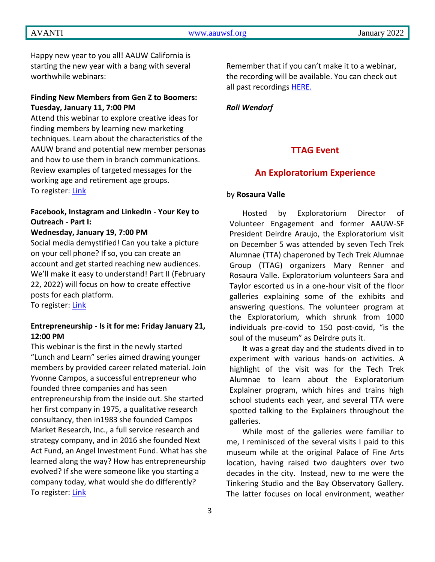AVANTI [www.aauwsf.org](http://www.aauwsf.org/) January 2022

Happy new year to you all! AAUW California is starting the new year with a bang with several worthwhile webinars:

#### **Finding New Members from Gen Z to Boomers: Tuesday, January 11, 7:00 PM**

Attend this webinar to explore creative ideas for finding members by learning new marketing techniques. Learn about the characteristics of the AAUW brand and potential new member personas and how to use them in branch communications. Review examples of targeted messages for the working age and retirement age groups. To register: [Link](https://us02web.zoom.us/webinar/register/WN_qha_UY5SRQK7N2Jb3aYNBQ)

## **Facebook, Instagram and LinkedIn - Your Key to Outreach - Part I:**

#### **Wednesday, January 19, 7:00 PM**

Social media demystified! Can you take a picture on your cell phone? If so, you can create an account and get started reaching new audiences. We'll make it easy to understand! Part II (February 22, 2022) will focus on how to create effective posts for each platform.

To register: [Link](https://us02web.zoom.us/webinar/register/WN_cBsaVVk-QyiXiOutXFr6Pg)

#### **Entrepreneurship - Is it for me: Friday January 21, 12:00 PM**

This webinar is the first in the newly started "Lunch and Learn" series aimed drawing younger members by provided career related material. Join Yvonne Campos, a successful entrepreneur who founded three companies and has seen entrepreneurship from the inside out. She started her first company in 1975, a qualitative research consultancy, then in1983 she founded Campos Market Research, Inc., a full service research and strategy company, and in 2016 she founded Next Act Fund, an Angel Investment Fund. What has she learned along the way? How has entrepreneurship evolved? If she were someone like you starting a company today, what would she do differently? To register: [Link](https://us02web.zoom.us/webinar/register/WN_hckjUEOqRHyEjZ2b1FM2AQ)

Remember that if you can't make it to a webinar, the recording will be available. You can check out all past recordings [HERE.](https://www.aauw-ca.org/category/2021-2022-webinars/)

#### *Roli Wendorf*

## **TTAG Event**

## **An Exploratorium Experience**

#### by **Rosaura Valle**

Hosted by Exploratorium Director of Volunteer Engagement and former AAUW-SF President Deirdre Araujo, the Exploratorium visit on December 5 was attended by seven Tech Trek Alumnae (TTA) chaperoned by Tech Trek Alumnae Group (TTAG) organizers Mary Renner and Rosaura Valle. Exploratorium volunteers Sara and Taylor escorted us in a one-hour visit of the floor galleries explaining some of the exhibits and answering questions. The volunteer program at the Exploratorium, which shrunk from 1000 individuals pre-covid to 150 post-covid, "is the soul of the museum" as Deirdre puts it.

It was a great day and the students dived in to experiment with various hands-on activities. A highlight of the visit was for the Tech Trek Alumnae to learn about the Exploratorium Explainer program, which hires and trains high school students each year, and several TTA were spotted talking to the Explainers throughout the galleries.

While most of the galleries were familiar to me, I reminisced of the several visits I paid to this museum while at the original Palace of Fine Arts location, having raised two daughters over two decades in the city. Instead, new to me were the Tinkering Studio and the Bay Observatory Gallery. The latter focuses on local environment, weather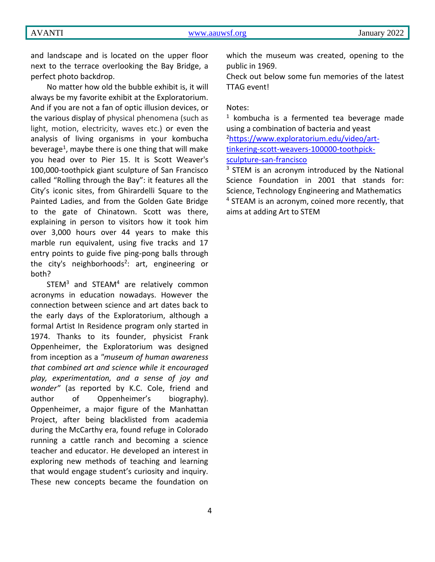and landscape and is located on the upper floor next to the terrace overlooking the Bay Bridge, a perfect photo backdrop.

No matter how old the bubble exhibit is, it will always be my favorite exhibit at the Exploratorium. And if you are not a fan of optic illusion devices, or the various display of physical phenomena (such as light, motion, electricity, waves etc.) or even the analysis of living organisms in your kombucha beverage<sup>1</sup>, maybe there is one thing that will make you head over to Pier 15. It is Scott Weaver's 100,000-toothpick giant sculpture of San Francisco called "Rolling through the Bay": it features all the City's iconic sites, from Ghirardelli Square to the Painted Ladies, and from the Golden Gate Bridge to the gate of Chinatown. Scott was there, explaining in person to visitors how it took him over 3,000 hours over 44 years to make this marble run equivalent, using five tracks and 17 entry points to guide five ping-pong balls through the city's neighborhoods<sup>2</sup>: art, engineering or both?

 $STEM<sup>3</sup>$  and  $STEAM<sup>4</sup>$  are relatively common acronyms in education nowadays. However the connection between science and art dates back to the early days of the Exploratorium, although a formal Artist In Residence program only started in 1974. Thanks to its founder, physicist Frank Oppenheimer, the Exploratorium was designed from inception as a *"museum of human awareness that combined art and science while it encouraged play, experimentation, and a sense of joy and wonder"* (as reported by K.C. Cole, friend and author of Oppenheimer's biography). Oppenheimer, a major figure of the Manhattan Project, after being blacklisted from academia during the McCarthy era, found refuge in Colorado running a cattle ranch and becoming a science teacher and educator. He developed an interest in exploring new methods of teaching and learning that would engage student's curiosity and inquiry. These new concepts became the foundation on

which the museum was created, opening to the public in 1969.

Check out below some fun memories of the latest TTAG event!

#### Notes:

 $1$  kombucha is a fermented tea beverage made using a combination of bacteria and yeast

2[https://www.exploratorium.edu/video/art](https://www.exploratorium.edu/video/art-tinkering-scott-weavers-100000-toothpick-sculpture-san-francisco)[tinkering-scott-weavers-100000-toothpick](https://www.exploratorium.edu/video/art-tinkering-scott-weavers-100000-toothpick-sculpture-san-francisco)[sculpture-san-francisco](https://www.exploratorium.edu/video/art-tinkering-scott-weavers-100000-toothpick-sculpture-san-francisco)

<sup>3</sup> STEM is an acronym introduced by the National Science Foundation in 2001 that stands for: Science, Technology Engineering and Mathematics <sup>4</sup> STEAM is an acronym, coined more recently, that aims at adding Art to STEM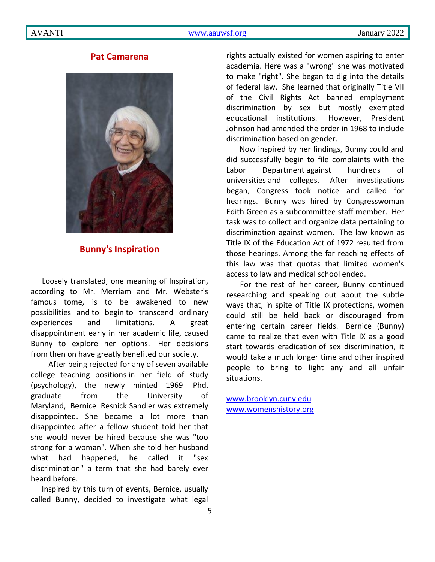## **Pat Camarena**



## **Bunny's Inspiration**

Loosely translated, one meaning of Inspiration, according to Mr. Merriam and Mr. Webster's famous tome, is to be awakened to new possibilities and to begin to transcend ordinary experiences and limitations. A great disappointment early in her academic life, caused Bunny to explore her options. Her decisions from then on have greatly benefited our society.

After being rejected for any of seven available college teaching positions in her field of study (psychology), the newly minted 1969 Phd. graduate from the University of Maryland, Bernice Resnick Sandler was extremely disappointed. She became a lot more than disappointed after a fellow student told her that she would never be hired because she was "too strong for a woman". When she told her husband what had happened, he called it "sex discrimination" a term that she had barely ever heard before.

Inspired by this turn of events, Bernice, usually called Bunny, decided to investigate what legal rights actually existed for women aspiring to enter academia. Here was a "wrong" she was motivated to make "right". She began to dig into the details of federal law. She learned that originally Title VII of the Civil Rights Act banned employment discrimination by sex but mostly exempted educational institutions. However, President Johnson had amended the order in 1968 to include discrimination based on gender.

Now inspired by her findings, Bunny could and did successfully begin to file complaints with the Labor Department against hundreds of universities and colleges. After investigations began, Congress took notice and called for hearings. Bunny was hired by Congresswoman Edith Green as a subcommittee staff member. Her task was to collect and organize data pertaining to discrimination against women. The law known as Title IX of the Education Act of 1972 resulted from those hearings. Among the far reaching effects of this law was that quotas that limited women's access to law and medical school ended.

For the rest of her career, Bunny continued researching and speaking out about the subtle ways that, in spite of Title IX protections, women could still be held back or discouraged from entering certain career fields. Bernice (Bunny) came to realize that even with Title IX as a good start towards eradication of sex discrimination, it would take a much longer time and other inspired people to bring to light any and all unfair situations.

[www.brooklyn.cuny.edu](http://www.brooklyn.cuny.edu/) [www.womenshistory.org](http://www.womenshistory.org/)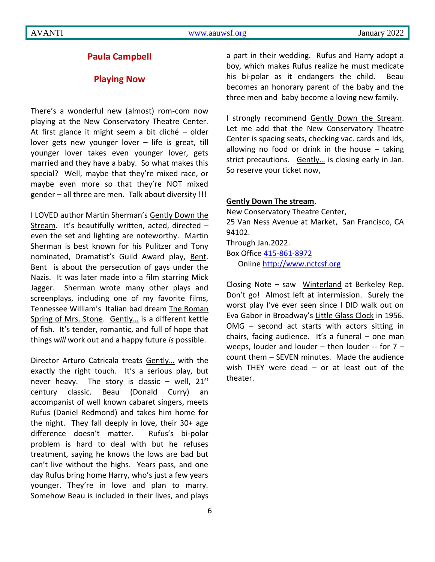#### **Paula Campbell**

#### **Playing Now**

There's a wonderful new (almost) rom-com now playing at the New Conservatory Theatre Center. At first glance it might seem a bit cliché – older lover gets new younger lover – life is great, till younger lover takes even younger lover, gets married and they have a baby. So what makes this special? Well, maybe that they're mixed race, or maybe even more so that they're NOT mixed gender – all three are men. Talk about diversity !!!

I LOVED author Martin Sherman's Gently Down the Stream. It's beautifully written, acted, directed – even the set and lighting are noteworthy. Martin Sherman is best known for his Pulitzer and Tony nominated, Dramatist's Guild Award play, Bent. Bent is about the persecution of gays under the Nazis. It was later made into a film starring Mick Jagger. Sherman wrote many other plays and screenplays, including one of my favorite films, Tennessee William's Italian bad dream The Roman Spring of Mrs. Stone. Gently... is a different kettle of fish. It's tender, romantic, and full of hope that things *will* work out and a happy future *is* possible.

Director Arturo Catricala treats Gently… with the exactly the right touch. It's a serious play, but never heavy. The story is classic – well,  $21^{st}$ century classic. Beau (Donald Curry) an accompanist of well known cabaret singers, meets Rufus (Daniel Redmond) and takes him home for the night. They fall deeply in love, their 30+ age difference doesn't matter. Rufus's bi-polar problem is hard to deal with but he refuses treatment, saying he knows the lows are bad but can't live without the highs. Years pass, and one day Rufus bring home Harry, who's just a few years younger. They're in love and plan to marry. Somehow Beau is included in their lives, and plays a part in their wedding. Rufus and Harry adopt a boy, which makes Rufus realize he must medicate his bi-polar as it endangers the child. Beau becomes an honorary parent of the baby and the three men and baby become a loving new family.

I strongly recommend Gently Down the Stream. Let me add that the New Conservatory Theatre Center is spacing seats, checking vac. cards and Ids, allowing no food or drink in the house  $-$  taking strict precautions. Gently... is closing early in Jan. So reserve your ticket now,

#### **Gently Down The stream**,

New Conservatory Theatre Center, 25 Van Ness Avenue at Market, San Francisco, CA 94102. Through Jan.2022. Box Office [415-861-8972](mailto:415-861-8972) Onlin[e http://www.nctcsf.org](http://www.nctcsf.org/)

Closing Note – saw Winterland at Berkeley Rep. Don't go! Almost left at intermission. Surely the worst play I've ever seen since I DID walk out on Eva Gabor in Broadway's Little Glass Clock in 1956. OMG – second act starts with actors sitting in chairs, facing audience. It's a funeral – one man weeps, louder and louder – then louder -- for 7 – count them – SEVEN minutes. Made the audience wish THEY were dead – or at least out of the theater.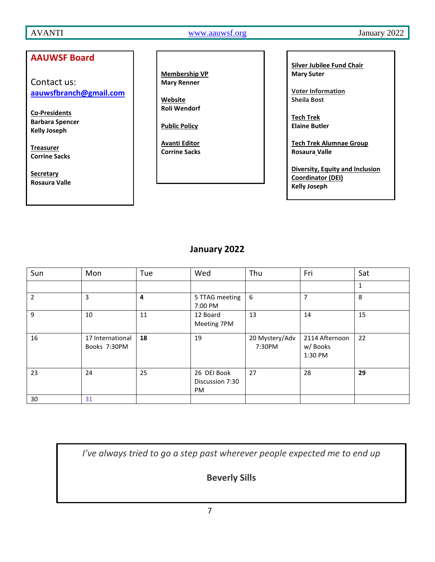AVANTI [www.aauwsf.org](http://www.aauwsf.org/) January 2022

## **AAUWSF Board**

Contact us: **[aauwsfbranch@gmail.com](file:///C:/Users/Corrine/Documents/Avanti/aauwsfbranch@gmail.com)**

**Co-Presidents Barbara Spencer Kelly Joseph**

**Treasurer Corrine Sacks**

**Secretary Rosaura Valle**

**Membership VP Mary Renner**

**Website Roli Wendorf**

**Public Policy**

**Avanti Editor Corrine Sacks** **Silver Jubilee Fund Chair Mary Suter**

**Voter Information Sheila Bost**

**Tech Trek Elaine Butler**

**Tech Trek Alumnae Group Rosaura Valle**

**Diversity, Equity and Inclusion Coordinator (DEI) Kelly Joseph**

## **January 2022**

| Sun            | Mon                              | Tue | Wed                                         | Thu                      | Fri                                  | Sat |
|----------------|----------------------------------|-----|---------------------------------------------|--------------------------|--------------------------------------|-----|
|                |                                  |     |                                             |                          |                                      | 1   |
| $\overline{2}$ | 3                                | 4   | 5 TTAG meeting<br>7:00 PM                   | 6                        | $\overline{7}$                       | 8   |
| 9              | 10                               | 11  | 12 Board<br>Meeting 7PM                     | 13                       | 14                                   | 15  |
| 16             | 17 International<br>Books 7:30PM | 18  | 19                                          | 20 Mystery/Adv<br>7:30PM | 2114 Afternoon<br>w/Books<br>1:30 PM | 22  |
| 23             | 24                               | 25  | 26 DEI Book<br>Discussion 7:30<br><b>PM</b> | 27                       | 28                                   | 29  |
| 30             | 31                               |     |                                             |                          |                                      |     |

*I've always tried to go a step past wherever people expected me to end up*

**Beverly Sills**